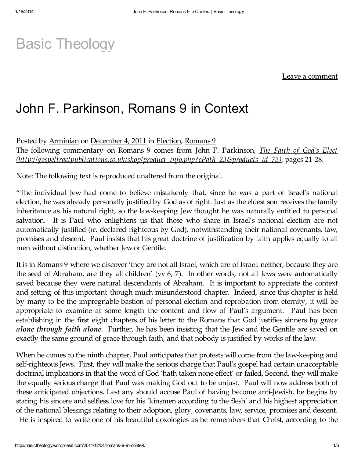# Basic [Theology](http://basictheology.wordpress.com/)

Leave a comment

# John F. Parkinson, Romans 9 in Context

Posted by [Arminian](http://basictheology.wordpress.com/author/counteringcalvinism/) on [December](http://basictheology.wordpress.com/2011/12/04/romans-9-in-context/) 4, 2011 in [Election,](http://basictheology.wordpress.com/category/election/) [Romans](http://basictheology.wordpress.com/category/romans-9/) 9 The following commentary on Romans 9 comes from John F. Parkinson, *The Faith of God's Elect [\(http://gospeltractpublications.co.uk/shop/product\\_info.php?cPath=23&products\\_id=73\)](http://gospeltractpublications.co.uk/shop/product_info.php?cPath=23&products_id=73)*, pages 21-28.

Note: The following text is reproduced unaltered from the original.

"The individual Jew had come to believe mistakenly that, since he was a part of Israel's national election, he was already personally justified by God as of right. Just as the eldest son receives the family inheritance as his natural right, so the law-keeping Jew thought he was naturally entitled to personal salvation. It is Paul who enlightens us that those who share in Israel's national election are not automatically justified (*ie.* declared righteous by God), notwithstanding their national covenants, law, promises and descent. Paul insists that his great doctrine of justification by faith applies equally to all men without distinction, whether Jew or Gentile.

It is in Romans 9 where we discover 'they are not all Israel, which are of Israel: neither, because they are the seed of Abraham, are they all children' (vv 6, 7). In other words, not all Jews were automatically saved because they were natural descendants of Abraham. It is important to appreciate the context and setting of this important though much misunderstood chapter. Indeed, since this chapter is held by many to be the impregnable bastion of personal election and reprobation from eternity, it will be appropriate to examine at some length the content and flow of Paul's argument. Paul has been establishing in the first eight chapters of his letter to the Romans that God justifies sinners *by grace alone through faith alone*. Further, he has been insisting that the Jew and the Gentile are saved on exactly the same ground of grace through faith, and that nobody is justified by works of the law.

When he comes to the ninth chapter, Paul anticipates that protests will come from the law-keeping and self-righteous Jews. First, they will make the serious charge that Paul's gospel had certain unacceptable doctrinal implications in that the word of God 'hath taken none effect' or failed. Second, they will make the equally serious charge that Paul was making God out to be unjust. Paul will now address both of these anticipated objections. Lest any should accuse Paul of having become anti-Jewish, he begins by stating his sincere and selfless love for his 'kinsmen according to the flesh' and his highest appreciation of the national blessings relating to their adoption, glory, covenants, law, service, promises and descent. He is inspired to write one of his beautiful doxologies as he remembers that Christ, according to the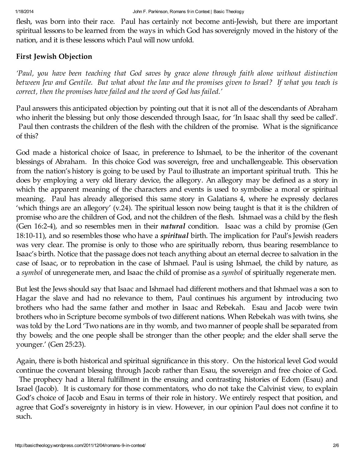flesh, was born into their race. Paul has certainly not become anti-Jewish, but there are important spiritual lessons to be learned from the ways in which God has sovereignly moved in the history of the nation, and it is these lessons which Paul will now unfold.

### First Jewish Objection

*'Paul, you have been teaching that God saves by grace alone through faith alone without distinction* between Jew and Gentile. But what about the law and the promises given to Israel? If what you teach is *correct, then the promises have failed and the word of God has failed.'*

Paul answers this anticipated objection by pointing out that it is not all of the descendants of Abraham who inherit the blessing but only those descended through Isaac, for 'In Isaac shall thy seed be called'. Paul then contrasts the children of the flesh with the children of the promise. What is the significance of this?

God made a historical choice of Isaac, in preference to Ishmael, to be the inheritor of the covenant blessings of Abraham. In this choice God was sovereign, free and unchallengeable. This observation from the nation's history is going to be used by Paul to illustrate an important spiritual truth. This he does by employing a very old literary device, the allegory. An allegory may be defined as a story in which the apparent meaning of the characters and events is used to symbolise a moral or spiritual meaning. Paul has already allegorised this same story in Galatians 4, where he expressly declares 'which things are an allegory' (v.24). The spiritual lesson now being taught is that it is the children of promise who are the children of God, and not the children of the flesh. Ishmael was a child by the flesh (Gen 16:2-4), and so resembles men in their *natural* condition. Isaac was a child by promise (Gen 18:10-11), and so resembles those who have a *spiritual* birth. The implication for Paul's Jewish readers was very clear. The promise is only to those who are spiritually reborn, thus bearing resemblance to Isaac's birth. Notice that the passage does not teach anything about an eternal decree to salvation in the case of Isaac, or to reprobation in the case of Ishmael. Paul is using Ishmael, the child by nature, as a *symbol* of unregenerate men, and Isaac the child of promise as a *symbol* of spiritually regenerate men.

But lest the Jews should say that Isaac and Ishmael had different mothers and that Ishmael was a son to Hagar the slave and had no relevance to them, Paul continues his argument by introducing two brothers who had the same father and mother in Isaac and Rebekah. Esau and Jacob were twin brothers who in Scripture become symbols of two different nations. When Rebekah was with twins, she was told by the Lord 'Two nations are in thy womb, and two manner of people shall be separated from thy bowels; and the one people shall be stronger than the other people; and the elder shall serve the younger.' (Gen 25:23).

Again, there is both historical and spiritual significance in this story. On the historical level God would continue the covenant blessing through Jacob rather than Esau, the sovereign and free choice of God. The prophecy had a literal fulfillment in the ensuing and contrasting histories of Edom (Esau) and Israel (Jacob). It is customary for those commentators, who do not take the Calvinist view, to explain God's choice of Jacob and Esau in terms of their role in history. We entirely respect that position, and agree that God's sovereignty in history is in view. However, in our opinion Paul does not confine it to such.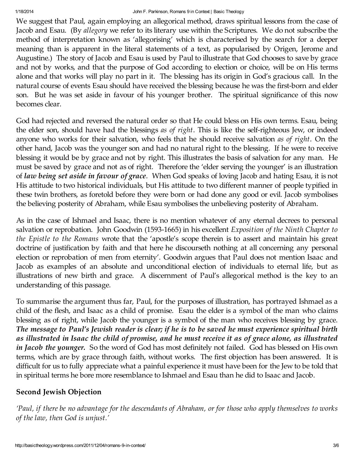#### 1/18/2014 John F. Parkinson, Romans 9 in Context | Basic Theology

We suggest that Paul, again employing an allegorical method, draws spiritual lessons from the case of Jacob and Esau. (By *allegory* we refer to its literary use within the Scriptures. We do not subscribe the method of interpretation known as 'allegorising' which is characterised by the search for a deeper meaning than is apparent in the literal statements of a text, as popularised by Origen, Jerome and Augustine.) The story of Jacob and Esau is used by Paul to illustrate that God chooses to save by grace and not by works, and that the purpose of God according to election or choice, will be on His terms alone and that works will play no part in it. The blessing has its origin in God's gracious call. In the natural course of events Esau should have received the blessing because he was the first-born and elder son. But he was set aside in favour of his younger brother. The spiritual significance of this now becomes clear.

God had rejected and reversed the natural order so that He could bless on His own terms. Esau, being the elder son, should have had the blessings *as of right*. This is like the self-righteous Jew, or indeed anyone who works for their salvation, who feels that he should receive salvation *as of right*. On the other hand, Jacob was the younger son and had no natural right to the blessing. If he were to receive blessing it would be by grace and not by right. This illustrates the basis of salvation for any man. He must be saved by grace and not as of right. Therefore the 'elder serving the younger' is an illustration of *law being set aside in favour of grace*. When God speaks of loving Jacob and hating Esau, it is not His attitude to two historical individuals, but His attitude to two different manner of people typified in these twin brothers, as foretold before they were born or had done any good or evil. Jacob symbolises the believing posterity of Abraham, while Esau symbolises the unbelieving posterity of Abraham.

As in the case of Ishmael and Isaac, there is no mention whatever of any eternal decrees to personal salvation or reprobation. John Goodwin (1593-1665) in his excellent *Exposition of the Ninth Chapter to the Epistle to the Romans* wrote that the 'apostle's scope therein is to assert and maintain his great doctrine of justification by faith and that here he discourseth nothing at all concerning any personal election or reprobation of men from eternity'. Goodwin argues that Paul does not mention Isaac and Jacob as examples of an absolute and unconditional election of individuals to eternal life, but as illustrations of new birth and grace. A discernment of Paul's allegorical method is the key to an understanding of this passage.

To summarise the argument thus far, Paul, for the purposes of illustration, has portrayed Ishmael as a child of the flesh, and Isaac as a child of promise. Esau the elder is a symbol of the man who claims blessing as of right, while Jacob the younger is a symbol of the man who receives blessing by grace. The message to Paul's Jewish reader is clear; if he is to be saved he must experience spiritual birth as illustrated in Isaac the child of promise, and he must receive it as of grace alone, as illustrated *in Jacob the younger.* So the word of God has most definitely not failed. God has blessed on His own terms, which are by grace through faith, without works. The first objection has been answered. It is difficult for us to fully appreciate what a painful experience it must have been for the Jew to be told that in spiritual terms he bore more resemblance to Ishmael and Esau than he did to Isaac and Jacob.

# Second Jewish Objection

'Paul, if there be no advantage for the descendants of Abraham, or for those who apply themselves to works *of the law, then God is unjust.'*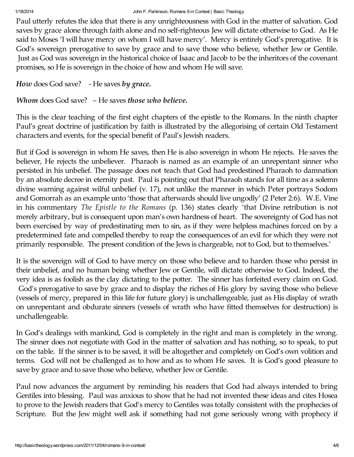### 1/18/2014 John F. Parkinson, Romans 9 in Context | Basic Theology

Paul utterly refutes the idea that there is any unrighteousness with God in the matter of salvation. God saves by grace alone through faith alone and no self-righteous Jew will dictate otherwise to God. As He said to Moses 'I will have mercy on whom I will have mercy'. Mercy is entirely God's prerogative. It is God's sovereign prerogative to save by grace and to save those who believe, whether Jew or Gentile. Just as God was sovereign in the historical choice of Isaac and Jacob to be the inheritors of the covenant promises, so He is sovereign in the choice of how and whom He will save.

```
How does God save? - He saves by grace.
```
# *Whom* does God save? – He saves *those who believe.*

This is the clear teaching of the first eight chapters of the epistle to the Romans. In the ninth chapter Paul's great doctrine of justification by faith is illustrated by the allegorising of certain Old Testament characters and events, for the special benefit of Paul's Jewish readers.

But if God is sovereign in whom He saves, then He is also sovereign in whom He rejects. He saves the believer, He rejects the unbeliever. Pharaoh is named as an example of an unrepentant sinner who persisted in his unbelief. The passage does not teach that God had predestined Pharaoh to damnation by an absolute decree in eternity past. Paul is pointing out that Pharaoh stands for all time as a solemn divine warning against wilful unbelief (v. 17), not unlike the manner in which Peter portrays Sodom and Gomorrah as an example unto 'those that afterwards should live ungodly' (2 Peter 2:6). W.E. Vine in his commentary *The Epistle to the Romans* (p. 136) states clearly 'that Divine retribution is not merely arbitrary, but is consequent upon man's own hardness of heart. The sovereignty of God has not been exercised by way of predestinating men to sin, as if they were helpless machines forced on by a predetermined fate and compelled thereby to reap the consequences of an evil for which they were not primarily responsible. The present condition of the Jews is chargeable, not to God, but to themselves.'

It is the sovereign will of God to have mercy on those who believe and to harden those who persist in their unbelief, and no human being whether Jew or Gentile, will dictate otherwise to God. Indeed, the very idea is as foolish as the clay dictating to the potter. The sinner has forfeited every claim on God. God's prerogative to save by grace and to display the riches of His glory by saving those who believe (vessels of mercy, prepared in this life for future glory) is unchallengeable, just as His display of wrath on unrepentant and obdurate sinners (vessels of wrath who have fitted themselves for destruction) is unchallengeable.

In God's dealings with mankind, God is completely in the right and man is completely in the wrong. The sinner does not negotiate with God in the matter of salvation and has nothing, so to speak, to put on the table. If the sinner is to be saved, it will be altogether and completely on God's own volition and terms. God will not be challenged as to how and as to whom He saves. It is God's good pleasure to save by grace and to save those who believe, whether Jew or Gentile.

Paul now advances the argument by reminding his readers that God had always intended to bring Gentiles into blessing. Paul was anxious to show that he had not invented these ideas and cites Hosea to prove to the Jewish readers that God's mercy to Gentiles was totally consistent with the prophecies of Scripture. But the Jew might well ask if something had not gone seriously wrong with prophecy if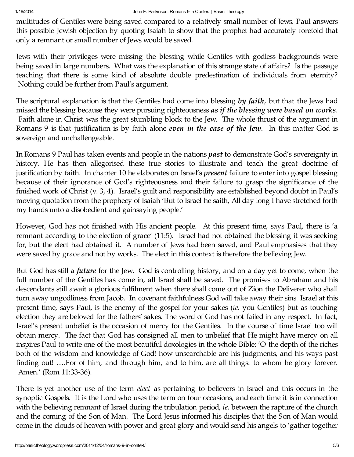multitudes of Gentiles were being saved compared to a relatively small number of Jews. Paul answers this possible Jewish objection by quoting Isaiah to show that the prophet had accurately foretold that only a remnant or small number of Jews would be saved.

Jews with their privileges were missing the blessing while Gentiles with godless backgrounds were being saved in large numbers. What was the explanation of this strange state of affairs? Is the passage teaching that there is some kind of absolute double predestination of individuals from eternity? Nothing could be further from Paul's argument.

The scriptural explanation is that the Gentiles had come into blessing *by faith*, but that the Jews had missed the blessing because they were pursuing righteousness *as if the blessing were based on works*. Faith alone in Christ was the great stumbling block to the Jew. The whole thrust of the argument in Romans 9 is that justification is by faith alone *even in the case of the Jew*. In this matter God is sovereign and unchallengeable.

In Romans 9 Paul has taken events and people in the nations *past* to demonstrate God's sovereignty in history. He has then allegorised these true stories to illustrate and teach the great doctrine of justification by faith. In chapter 10 he elaborates on Israel's *present* failure to enter into gospel blessing because of their ignorance of God's righteousness and their failure to grasp the significance of the finished work of Christ (v. 3, 4). Israel's guilt and responsibility are established beyond doubt in Paul's moving quotation from the prophecy of Isaiah 'But to Israel he saith, All day long I have stretched forth my hands unto a disobedient and gainsaying people.'

However, God has not finished with His ancient people. At this present time, says Paul, there is 'a remnant according to the election of grace' (11:5). Israel had not obtained the blessing it was seeking for, but the elect had obtained it. A number of Jews had been saved, and Paul emphasises that they were saved by grace and not by works. The elect in this context is therefore the believing Jew.

But God has still a *future* for the Jew. God is controlling history, and on a day yet to come, when the full number of the Gentiles has come in, all Israel shall be saved. The promises to Abraham and his descendants still await a glorious fulfilment when there shall come out of Zion the Deliverer who shall turn away ungodliness from Jacob. In covenant faithfulness God will take away their sins. Israel at this present time, says Paul, is the enemy of the gospel for your sakes (*ie.* you Gentiles) but as touching election they are beloved for the fathers' sakes. The word of God has not failed in any respect. In fact, Israel's present unbelief is the occasion of mercy for the Gentiles. In the course of time Israel too will obtain mercy. The fact that God has consigned all men to unbelief that He might have mercy on all inspires Paul to write one of the most beautiful doxologies in the whole Bible: 'O the depth of the riches both of the wisdom and knowledge of God! how unsearchable are his judgments, and his ways past finding out! ….For of him, and through him, and to him, are all things: to whom be glory forever. Amen.' (Rom 11:33-36).

There is yet another use of the term *elect* as pertaining to believers in Israel and this occurs in the synoptic Gospels. It is the Lord who uses the term on four occasions, and each time it is in connection with the believing remnant of Israel during the tribulation period, *ie.* between the rapture of the church and the coming of the Son of Man. The Lord Jesus informed his disciples that the Son of Man would come in the clouds of heaven with power and great glory and would send his angels to 'gather together